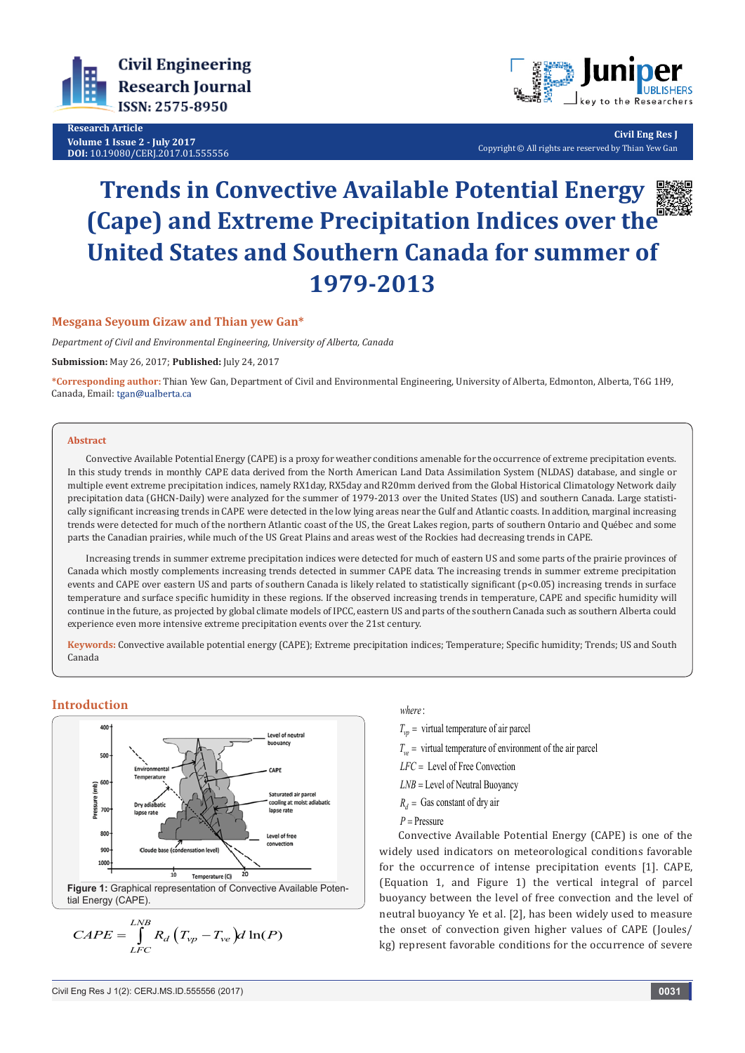

**Research Article Volume 1 Issue 2 - July 2017 DOI:** [10.19080/CERJ.2017.01.555556](http://dx.doi.org/10.19080/CERJ.2017.01.555556
)



**Civil Eng Res J** Copyright © All rights are reserved by Thian Yew Gan

# **Trends in Convective Available Potential Energy (Cape) and Extreme Precipitation Indices over the United States and Southern Canada for summer of 1979-2013**

#### **Mesgana Seyoum Gizaw and Thian yew Gan\***

*Department of Civil and Environmental Engineering, University of Alberta, Canada*

**Submission:** May 26, 2017; **Published:** July 24, 2017

**\*Corresponding author:** Thian Yew Gan, Department of Civil and Environmental Engineering, University of Alberta, Edmonton, Alberta, T6G 1H9, Canada, Email: tgan@ualberta.ca

#### **Abstract**

Convective Available Potential Energy (CAPE) is a proxy for weather conditions amenable for the occurrence of extreme precipitation events. In this study trends in monthly CAPE data derived from the North American Land Data Assimilation System (NLDAS) database, and single or multiple event extreme precipitation indices, namely RX1day, RX5day and R20mm derived from the Global Historical Climatology Network daily precipitation data (GHCN-Daily) were analyzed for the summer of 1979-2013 over the United States (US) and southern Canada. Large statistically significant increasing trends in CAPE were detected in the low lying areas near the Gulf and Atlantic coasts. In addition, marginal increasing trends were detected for much of the northern Atlantic coast of the US, the Great Lakes region, parts of southern Ontario and Québec and some parts the Canadian prairies, while much of the US Great Plains and areas west of the Rockies had decreasing trends in CAPE.

Increasing trends in summer extreme precipitation indices were detected for much of eastern US and some parts of the prairie provinces of Canada which mostly complements increasing trends detected in summer CAPE data. The increasing trends in summer extreme precipitation events and CAPE over eastern US and parts of southern Canada is likely related to statistically significant (p<0.05) increasing trends in surface temperature and surface specific humidity in these regions. If the observed increasing trends in temperature, CAPE and specific humidity will continue in the future, as projected by global climate models of IPCC, eastern US and parts of the southern Canada such as southern Alberta could experience even more intensive extreme precipitation events over the 21st century.

**Keywords:** Convective available potential energy (CAPE); Extreme precipitation indices; Temperature; Specific humidity; Trends; US and South Canada

## **Introduction**



$$
CAPE = \int_{LFC}^{LNB} R_d (T_{vp} - T_{ve}) d \ln(P)
$$

#### : *where*

 $T_{vp}$  = virtual temperature of air parcel

 $T_{ve}$  = virtual temperature of environment of the air parcel

LFC = Level of Free Convection

*LNB* = Level of Neutral Buoyancy

 $R_d$  = Gas constant of dry air

*P* = Pressure

Convective Available Potential Energy (CAPE) is one of the widely used indicators on meteorological conditions favorable for the occurrence of intense precipitation events [1]. CAPE, (Equation 1, and Figure 1) the vertical integral of parcel buoyancy between the level of free convection and the level of neutral buoyancy Ye et al. [2], has been widely used to measure the onset of convection given higher values of CAPE (Joules/ kg) represent favorable conditions for the occurrence of severe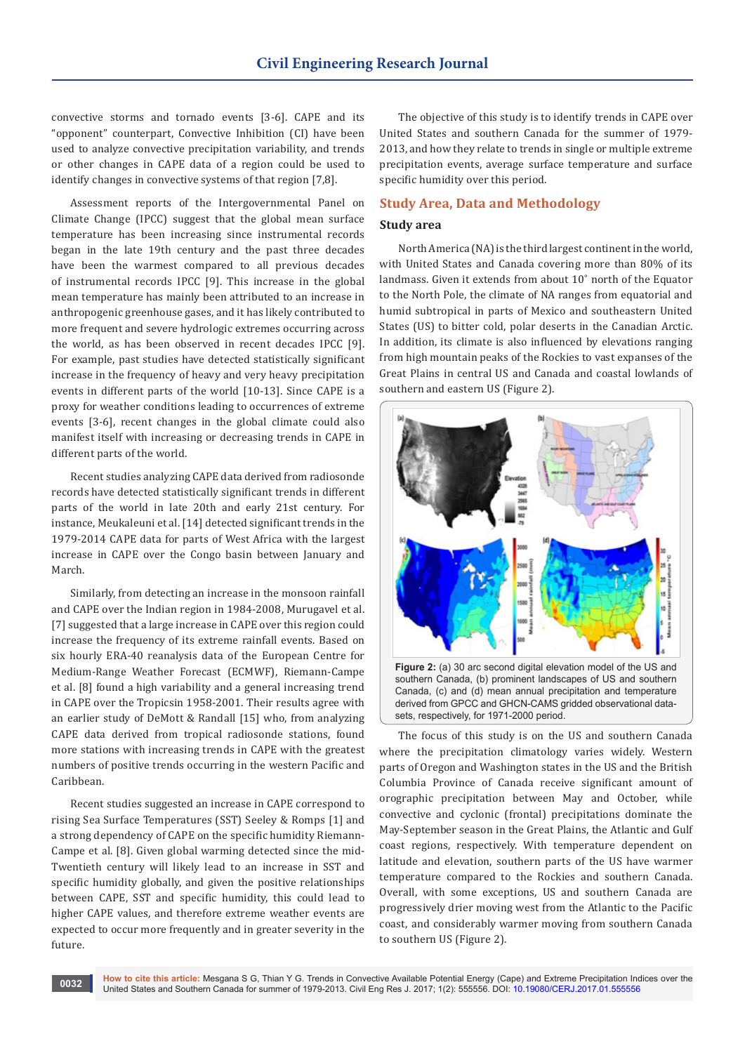convective storms and tornado events [3-6]. CAPE and its "opponent" counterpart, Convective Inhibition (CI) have been used to analyze convective precipitation variability, and trends or other changes in CAPE data of a region could be used to identify changes in convective systems of that region [7,8].

Assessment reports of the Intergovernmental Panel on Climate Change (IPCC) suggest that the global mean surface temperature has been increasing since instrumental records began in the late 19th century and the past three decades have been the warmest compared to all previous decades of instrumental records IPCC [9]. This increase in the global mean temperature has mainly been attributed to an increase in anthropogenic greenhouse gases, and it has likely contributed to more frequent and severe hydrologic extremes occurring across the world, as has been observed in recent decades IPCC [9]. For example, past studies have detected statistically significant increase in the frequency of heavy and very heavy precipitation events in different parts of the world [10-13]. Since CAPE is a proxy for weather conditions leading to occurrences of extreme events [3-6], recent changes in the global climate could also manifest itself with increasing or decreasing trends in CAPE in different parts of the world.

Recent studies analyzing CAPE data derived from radiosonde records have detected statistically significant trends in different parts of the world in late 20th and early 21st century. For instance, Meukaleuni et al. [14] detected significant trends in the 1979-2014 CAPE data for parts of West Africa with the largest increase in CAPE over the Congo basin between January and March.

Similarly, from detecting an increase in the monsoon rainfall and CAPE over the Indian region in 1984-2008, Murugavel et al. [7] suggested that a large increase in CAPE over this region could increase the frequency of its extreme rainfall events. Based on six hourly ERA-40 reanalysis data of the European Centre for Medium-Range Weather Forecast (ECMWF), Riemann-Campe et al. [8] found a high variability and a general increasing trend in CAPE over the Tropicsin 1958-2001. Their results agree with an earlier study of DeMott & Randall [15] who, from analyzing CAPE data derived from tropical radiosonde stations, found more stations with increasing trends in CAPE with the greatest numbers of positive trends occurring in the western Pacific and Caribbean.

Recent studies suggested an increase in CAPE correspond to rising Sea Surface Temperatures (SST) Seeley & Romps [1] and a strong dependency of CAPE on the specific humidity Riemann-Campe et al. [8]. Given global warming detected since the mid-Twentieth century will likely lead to an increase in SST and specific humidity globally, and given the positive relationships between CAPE, SST and specific humidity, this could lead to higher CAPE values, and therefore extreme weather events are expected to occur more frequently and in greater severity in the future.

The objective of this study is to identify trends in CAPE over United States and southern Canada for the summer of 1979- 2013, and how they relate to trends in single or multiple extreme precipitation events, average surface temperature and surface specific humidity over this period.

### **Study Area, Data and Methodology**

## **Study area**

North America (NA) is the third largest continent in the world, with United States and Canada covering more than 80% of its landmass. Given it extends from about 10˚ north of the Equator to the North Pole, the climate of NA ranges from equatorial and humid subtropical in parts of Mexico and southeastern United States (US) to bitter cold, polar deserts in the Canadian Arctic. In addition, its climate is also influenced by elevations ranging from high mountain peaks of the Rockies to vast expanses of the Great Plains in central US and Canada and coastal lowlands of southern and eastern US (Figure 2).



derived from GPCC and GHCN-CAMS gridded observational datasets, respectively, for 1971-2000 period.

The focus of this study is on the US and southern Canada where the precipitation climatology varies widely. Western parts of Oregon and Washington states in the US and the British Columbia Province of Canada receive significant amount of orographic precipitation between May and October, while convective and cyclonic (frontal) precipitations dominate the May-September season in the Great Plains, the Atlantic and Gulf coast regions, respectively. With temperature dependent on latitude and elevation, southern parts of the US have warmer temperature compared to the Rockies and southern Canada. Overall, with some exceptions, US and southern Canada are progressively drier moving west from the Atlantic to the Pacific coast, and considerably warmer moving from southern Canada to southern US (Figure 2).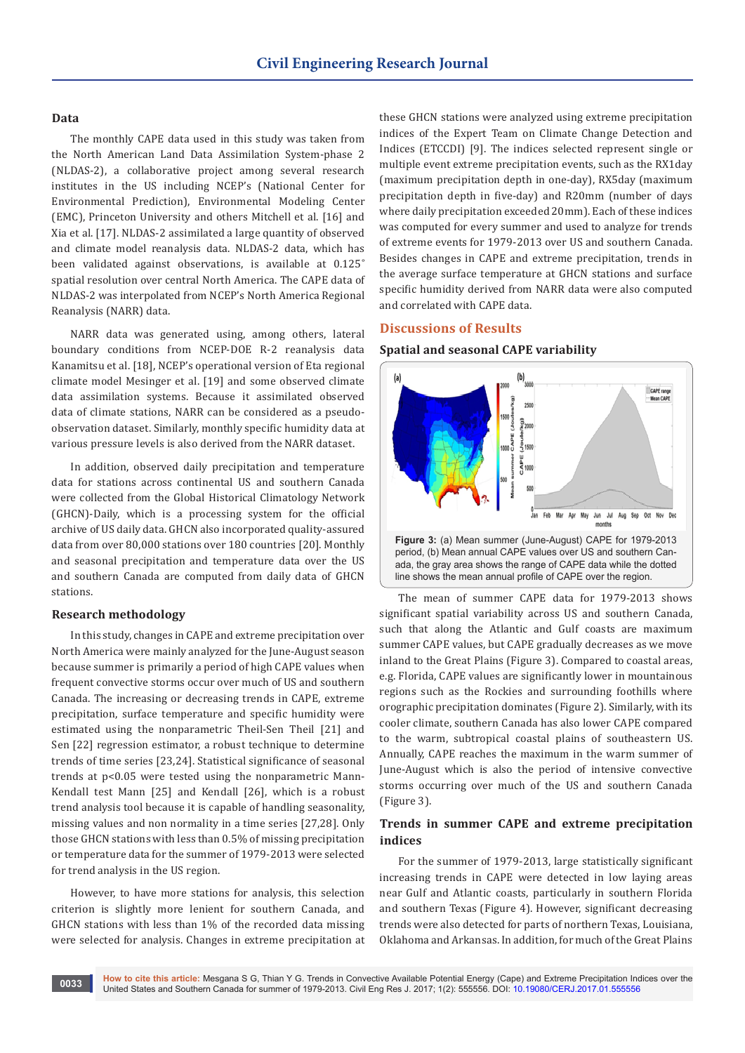#### **Data**

The monthly CAPE data used in this study was taken from the North American Land Data Assimilation System-phase 2 (NLDAS-2), a collaborative project among several research institutes in the US including NCEP's (National Center for Environmental Prediction), Environmental Modeling Center (EMC), Princeton University and others Mitchell et al. [16] and Xia et al. [17]. NLDAS-2 assimilated a large quantity of observed and climate model reanalysis data. NLDAS-2 data, which has been validated against observations, is available at 0.125˚ spatial resolution over central North America. The CAPE data of NLDAS-2 was interpolated from NCEP's North America Regional Reanalysis (NARR) data.

NARR data was generated using, among others, lateral boundary conditions from NCEP-DOE R-2 reanalysis data Kanamitsu et al. [18], NCEP's operational version of Eta regional climate model Mesinger et al. [19] and some observed climate data assimilation systems. Because it assimilated observed data of climate stations, NARR can be considered as a pseudoobservation dataset. Similarly, monthly specific humidity data at various pressure levels is also derived from the NARR dataset.

In addition, observed daily precipitation and temperature data for stations across continental US and southern Canada were collected from the Global Historical Climatology Network (GHCN)-Daily, which is a processing system for the official archive of US daily data. GHCN also incorporated quality-assured data from over 80,000 stations over 180 countries [20]. Monthly and seasonal precipitation and temperature data over the US and southern Canada are computed from daily data of GHCN stations.

#### **Research methodology**

In this study, changes in CAPE and extreme precipitation over North America were mainly analyzed for the June-August season because summer is primarily a period of high CAPE values when frequent convective storms occur over much of US and southern Canada. The increasing or decreasing trends in CAPE, extreme precipitation, surface temperature and specific humidity were estimated using the nonparametric Theil-Sen Theil [21] and Sen [22] regression estimator, a robust technique to determine trends of time series [23,24]. Statistical significance of seasonal trends at p<0.05 were tested using the nonparametric Mann-Kendall test Mann [25] and Kendall [26], which is a robust trend analysis tool because it is capable of handling seasonality, missing values and non normality in a time series [27,28]. Only those GHCN stations with less than 0.5% of missing precipitation or temperature data for the summer of 1979-2013 were selected for trend analysis in the US region.

However, to have more stations for analysis, this selection criterion is slightly more lenient for southern Canada, and GHCN stations with less than 1% of the recorded data missing were selected for analysis. Changes in extreme precipitation at

these GHCN stations were analyzed using extreme precipitation indices of the Expert Team on Climate Change Detection and Indices (ETCCDI) [9]. The indices selected represent single or multiple event extreme precipitation events, such as the RX1day (maximum precipitation depth in one-day), RX5day (maximum precipitation depth in five-day) and R20mm (number of days where daily precipitation exceeded 20mm). Each of these indices was computed for every summer and used to analyze for trends of extreme events for 1979-2013 over US and southern Canada. Besides changes in CAPE and extreme precipitation, trends in the average surface temperature at GHCN stations and surface specific humidity derived from NARR data were also computed and correlated with CAPE data.

#### **Discussions of Results**

#### **Spatial and seasonal CAPE variability**



The mean of summer CAPE data for 1979-2013 shows significant spatial variability across US and southern Canada, such that along the Atlantic and Gulf coasts are maximum summer CAPE values, but CAPE gradually decreases as we move inland to the Great Plains (Figure 3). Compared to coastal areas, e.g. Florida, CAPE values are significantly lower in mountainous regions such as the Rockies and surrounding foothills where orographic precipitation dominates (Figure 2). Similarly, with its cooler climate, southern Canada has also lower CAPE compared to the warm, subtropical coastal plains of southeastern US. Annually, CAPE reaches the maximum in the warm summer of June-August which is also the period of intensive convective storms occurring over much of the US and southern Canada (Figure 3).

#### **Trends in summer CAPE and extreme precipitation indices**

For the summer of 1979-2013, large statistically significant increasing trends in CAPE were detected in low laying areas near Gulf and Atlantic coasts, particularly in southern Florida and southern Texas (Figure 4). However, significant decreasing trends were also detected for parts of northern Texas, Louisiana, Oklahoma and Arkansas. In addition, for much of the Great Plains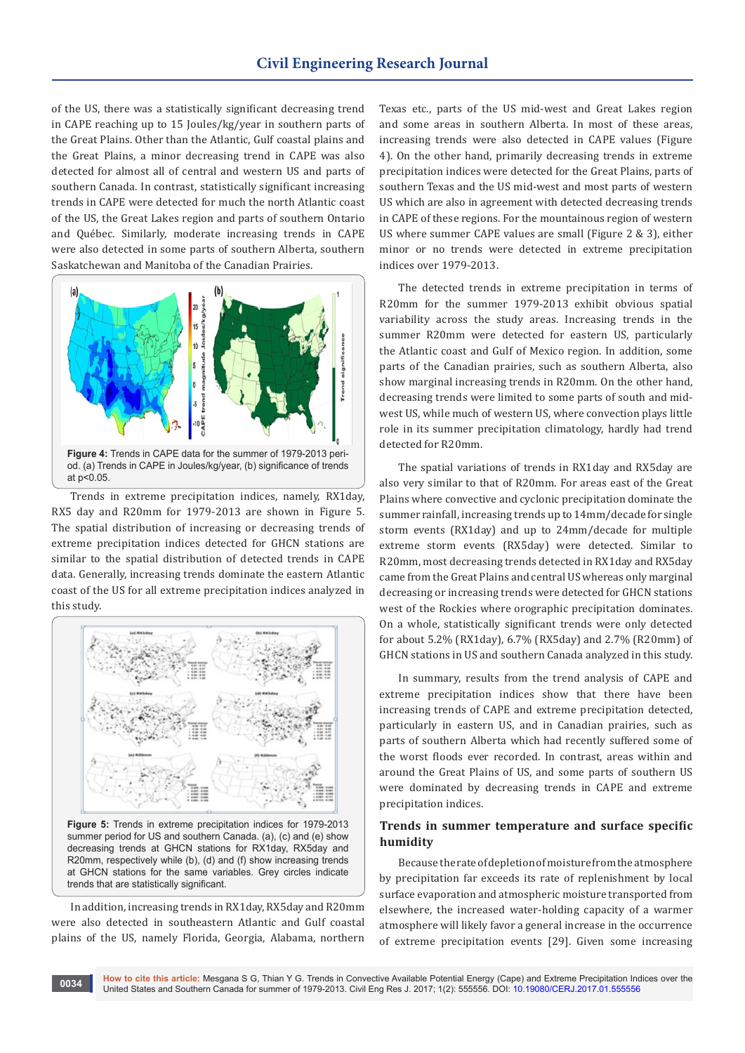of the US, there was a statistically significant decreasing trend in CAPE reaching up to 15 Joules/kg/year in southern parts of the Great Plains. Other than the Atlantic, Gulf coastal plains and the Great Plains, a minor decreasing trend in CAPE was also detected for almost all of central and western US and parts of southern Canada. In contrast, statistically significant increasing trends in CAPE were detected for much the north Atlantic coast of the US, the Great Lakes region and parts of southern Ontario and Québec. Similarly, moderate increasing trends in CAPE were also detected in some parts of southern Alberta, southern Saskatchewan and Manitoba of the Canadian Prairies.



Trends in extreme precipitation indices, namely, RX1day, RX5 day and R20mm for 1979-2013 are shown in Figure 5. The spatial distribution of increasing or decreasing trends of extreme precipitation indices detected for GHCN stations are similar to the spatial distribution of detected trends in CAPE data. Generally, increasing trends dominate the eastern Atlantic coast of the US for all extreme precipitation indices analyzed in this study.



In addition, increasing trends in RX1day, RX5day and R20mm were also detected in southeastern Atlantic and Gulf coastal plains of the US, namely Florida, Georgia, Alabama, northern Texas etc., parts of the US mid-west and Great Lakes region and some areas in southern Alberta. In most of these areas, increasing trends were also detected in CAPE values (Figure 4). On the other hand, primarily decreasing trends in extreme precipitation indices were detected for the Great Plains, parts of southern Texas and the US mid-west and most parts of western US which are also in agreement with detected decreasing trends in CAPE of these regions. For the mountainous region of western US where summer CAPE values are small (Figure 2 & 3), either minor or no trends were detected in extreme precipitation indices over 1979-2013.

The detected trends in extreme precipitation in terms of R20mm for the summer 1979-2013 exhibit obvious spatial variability across the study areas. Increasing trends in the summer R20mm were detected for eastern US, particularly the Atlantic coast and Gulf of Mexico region. In addition, some parts of the Canadian prairies, such as southern Alberta, also show marginal increasing trends in R20mm. On the other hand, decreasing trends were limited to some parts of south and midwest US, while much of western US, where convection plays little role in its summer precipitation climatology, hardly had trend detected for R20mm.

The spatial variations of trends in RX1day and RX5day are also very similar to that of R20mm. For areas east of the Great Plains where convective and cyclonic precipitation dominate the summer rainfall, increasing trends up to 14mm/decade for single storm events (RX1day) and up to 24mm/decade for multiple extreme storm events (RX5day) were detected. Similar to R20mm, most decreasing trends detected in RX1day and RX5day came from the Great Plains and central US whereas only marginal decreasing or increasing trends were detected for GHCN stations west of the Rockies where orographic precipitation dominates. On a whole, statistically significant trends were only detected for about 5.2% (RX1day), 6.7% (RX5day) and 2.7% (R20mm) of GHCN stations in US and southern Canada analyzed in this study.

In summary, results from the trend analysis of CAPE and extreme precipitation indices show that there have been increasing trends of CAPE and extreme precipitation detected, particularly in eastern US, and in Canadian prairies, such as parts of southern Alberta which had recently suffered some of the worst floods ever recorded. In contrast, areas within and around the Great Plains of US, and some parts of southern US were dominated by decreasing trends in CAPE and extreme precipitation indices.

#### **Trends in summer temperature and surface specific humidity**

Because the rate of depletion of moisture from the atmosphere by precipitation far exceeds its rate of replenishment by local surface evaporation and atmospheric moisture transported from elsewhere, the increased water-holding capacity of a warmer atmosphere will likely favor a general increase in the occurrence of extreme precipitation events [29]. Given some increasing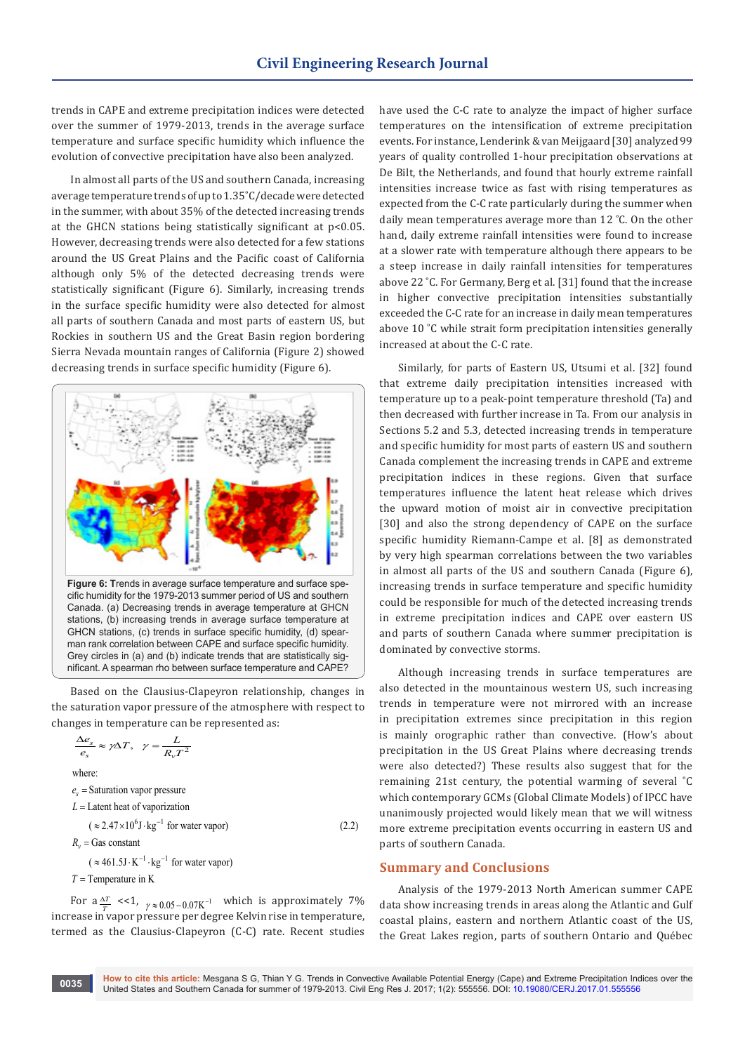trends in CAPE and extreme precipitation indices were detected over the summer of 1979-2013, trends in the average surface temperature and surface specific humidity which influence the evolution of convective precipitation have also been analyzed.

In almost all parts of the US and southern Canada, increasing average temperature trends of up to 1.35˚C/decade were detected in the summer, with about 35% of the detected increasing trends at the GHCN stations being statistically significant at p<0.05. However, decreasing trends were also detected for a few stations around the US Great Plains and the Pacific coast of California although only 5% of the detected decreasing trends were statistically significant (Figure 6). Similarly, increasing trends in the surface specific humidity were also detected for almost all parts of southern Canada and most parts of eastern US, but Rockies in southern US and the Great Basin region bordering Sierra Nevada mountain ranges of California (Figure 2) showed decreasing trends in surface specific humidity (Figure 6).



stations, (b) increasing trends in average surface temperature at GHCN stations, (c) trends in surface specific humidity, (d) spearman rank correlation between CAPE and surface specific humidity. Grey circles in (a) and (b) indicate trends that are statistically significant. A spearman rho between surface temperature and CAPE?

Based on the Clausius-Clapeyron relationship, changes in the saturation vapor pressure of the atmosphere with respect to changes in temperature can be represented as:

$$
\frac{\Delta e_s}{e_s} \approx \gamma \Delta T, \ \ \gamma = \frac{L}{R_v T^2}
$$

where:

 $e_s$  = Saturation vapor pressure

$$
L =
$$
Latent heat of vaporization

 $(z \approx 2.47 \times 10^6 \text{ J} \cdot \text{kg}^{-1}$  for water vapor) (2.2)  $R_v =$  Gas constant

 $(\approx 461.5 \text{J} \cdot \text{K}^{-1} \cdot \text{kg}^{-1}$  for water vapor)

*T* = Temperature in K

For  $a \frac{\Delta T}{T}$  <<1,  $\gamma \approx 0.05 - 0.07 \text{K}^{-1}$  which is approximately 7% increase in vapor pressure per degree Kelvin rise in temperature, termed as the Clausius-Clapeyron (C-C) rate. Recent studies

have used the C-C rate to analyze the impact of higher surface temperatures on the intensification of extreme precipitation events. For instance, Lenderink & van Meijgaard [30] analyzed 99 years of quality controlled 1-hour precipitation observations at De Bilt, the Netherlands, and found that hourly extreme rainfall intensities increase twice as fast with rising temperatures as expected from the C-C rate particularly during the summer when daily mean temperatures average more than 12 ˚C. On the other hand, daily extreme rainfall intensities were found to increase at a slower rate with temperature although there appears to be a steep increase in daily rainfall intensities for temperatures above 22 ˚C. For Germany, Berg et al. [31] found that the increase in higher convective precipitation intensities substantially exceeded the C-C rate for an increase in daily mean temperatures above 10 ˚C while strait form precipitation intensities generally increased at about the C-C rate.

Similarly, for parts of Eastern US, Utsumi et al. [32] found that extreme daily precipitation intensities increased with temperature up to a peak-point temperature threshold (Ta) and then decreased with further increase in Ta. From our analysis in Sections 5.2 and 5.3, detected increasing trends in temperature and specific humidity for most parts of eastern US and southern Canada complement the increasing trends in CAPE and extreme precipitation indices in these regions. Given that surface temperatures influence the latent heat release which drives the upward motion of moist air in convective precipitation [30] and also the strong dependency of CAPE on the surface specific humidity Riemann-Campe et al. [8] as demonstrated by very high spearman correlations between the two variables in almost all parts of the US and southern Canada (Figure 6), increasing trends in surface temperature and specific humidity could be responsible for much of the detected increasing trends in extreme precipitation indices and CAPE over eastern US and parts of southern Canada where summer precipitation is dominated by convective storms.

Although increasing trends in surface temperatures are also detected in the mountainous western US, such increasing trends in temperature were not mirrored with an increase in precipitation extremes since precipitation in this region is mainly orographic rather than convective. (How's about precipitation in the US Great Plains where decreasing trends were also detected?) These results also suggest that for the remaining 21st century, the potential warming of several ˚C which contemporary GCMs (Global Climate Models) of IPCC have unanimously projected would likely mean that we will witness more extreme precipitation events occurring in eastern US and parts of southern Canada.

#### **Summary and Conclusions**

Analysis of the 1979-2013 North American summer CAPE data show increasing trends in areas along the Atlantic and Gulf coastal plains, eastern and northern Atlantic coast of the US, the Great Lakes region, parts of southern Ontario and Québec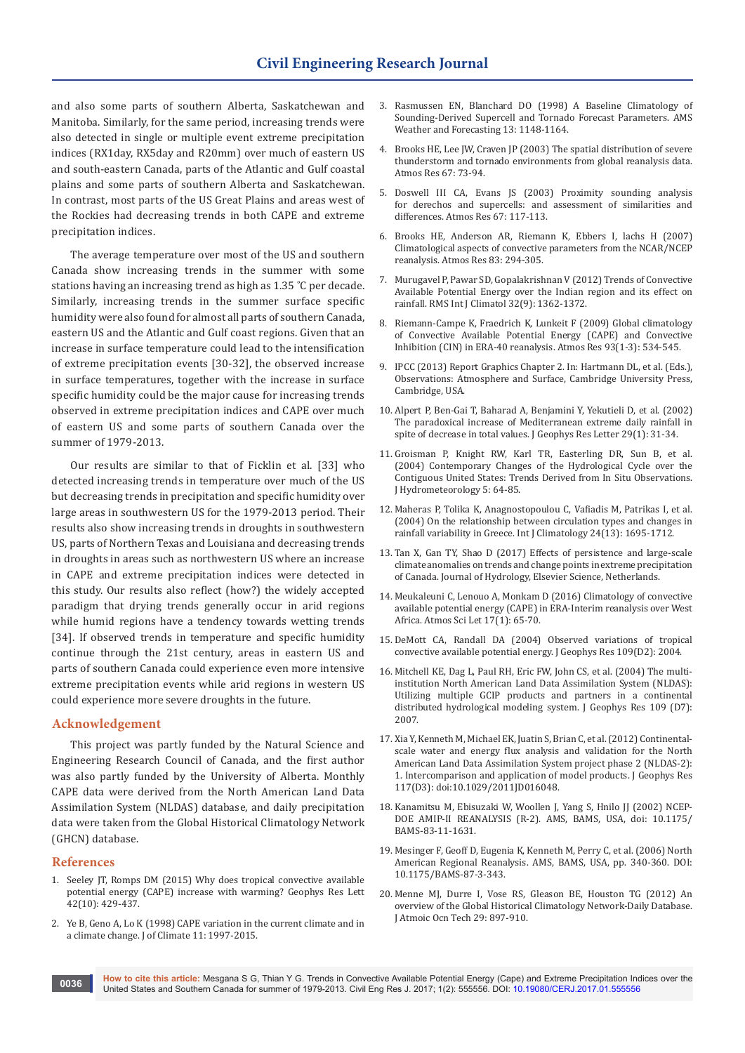and also some parts of southern Alberta, Saskatchewan and Manitoba. Similarly, for the same period, increasing trends were also detected in single or multiple event extreme precipitation indices (RX1day, RX5day and R20mm) over much of eastern US and south-eastern Canada, parts of the Atlantic and Gulf coastal plains and some parts of southern Alberta and Saskatchewan. In contrast, most parts of the US Great Plains and areas west of the Rockies had decreasing trends in both CAPE and extreme precipitation indices.

The average temperature over most of the US and southern Canada show increasing trends in the summer with some stations having an increasing trend as high as 1.35 ˚C per decade. Similarly, increasing trends in the summer surface specific humidity were also found for almost all parts of southern Canada, eastern US and the Atlantic and Gulf coast regions. Given that an increase in surface temperature could lead to the intensification of extreme precipitation events [30-32], the observed increase in surface temperatures, together with the increase in surface specific humidity could be the major cause for increasing trends observed in extreme precipitation indices and CAPE over much of eastern US and some parts of southern Canada over the summer of 1979-2013.

Our results are similar to that of Ficklin et al. [33] who detected increasing trends in temperature over much of the US but decreasing trends in precipitation and specific humidity over large areas in southwestern US for the 1979-2013 period. Their results also show increasing trends in droughts in southwestern US, parts of Northern Texas and Louisiana and decreasing trends in droughts in areas such as northwestern US where an increase in CAPE and extreme precipitation indices were detected in this study. Our results also reflect (how?) the widely accepted paradigm that drying trends generally occur in arid regions while humid regions have a tendency towards wetting trends [34]. If observed trends in temperature and specific humidity continue through the 21st century, areas in eastern US and parts of southern Canada could experience even more intensive extreme precipitation events while arid regions in western US could experience more severe droughts in the future.

#### **Acknowledgement**

This project was partly funded by the Natural Science and Engineering Research Council of Canada, and the first author was also partly funded by the University of Alberta. Monthly CAPE data were derived from the North American Land Data Assimilation System (NLDAS) database, and daily precipitation data were taken from the Global Historical Climatology Network (GHCN) database.

#### **References**

- 1. [Seeley JT, Romps DM \(2015\) Why does tropical convective available](http://onlinelibrary.wiley.com/doi/10.1002/2015GL066199/abstract)  [potential energy \(CAPE\) increase with warming? Geophys Res Lett](http://onlinelibrary.wiley.com/doi/10.1002/2015GL066199/abstract)  [42\(10\): 429-437.](http://onlinelibrary.wiley.com/doi/10.1002/2015GL066199/abstract)
- 2. [Ye B, Geno A, Lo K \(1998\) CAPE variation in the current climate and in](http://journals.ametsoc.org/doi/full/10.1175/1520-0442-11.8.1997)  [a climate change. J of Climate 11: 1997-2015.](http://journals.ametsoc.org/doi/full/10.1175/1520-0442-11.8.1997)
- 3. [Rasmussen EN, Blanchard DO \(1998\) A Baseline Climatology of](http://journals.ametsoc.org/doi/abs/10.1175/1520-0434%281998%29013%3C1148%3AABCOSD%3E2.0.CO%3B2)  [Sounding-Derived Supercell and Tornado Forecast Parameters. AMS](http://journals.ametsoc.org/doi/abs/10.1175/1520-0434%281998%29013%3C1148%3AABCOSD%3E2.0.CO%3B2)  [Weather and Forecasting 13: 1148-1164.](http://journals.ametsoc.org/doi/abs/10.1175/1520-0434%281998%29013%3C1148%3AABCOSD%3E2.0.CO%3B2)
- 4. Brooks HE, Lee JW, Craven JP (2003) The spatial distribution of severe thunderstorm and tornado environments from global reanalysis data. Atmos Res 67: 73-94.
- 5. Doswell III CA, Evans JS (2003) Proximity sounding analysis for derechos and supercells: and assessment of similarities and differences. Atmos Res 67: 117-113.
- 6. Brooks HE, Anderson AR, Riemann K, Ebbers I, lachs H (2007) Climatological aspects of convective parameters from the NCAR/NCEP reanalysis. Atmos Res 83: 294-305.
- 7. [Murugavel P, Pawar SD, Gopalakrishnan V \(2012\) Trends of Convective](http://onlinelibrary.wiley.com/doi/10.1002/joc.2359/abstract)  [Available Potential Energy over the Indian region and its effect on](http://onlinelibrary.wiley.com/doi/10.1002/joc.2359/abstract)  [rainfall. RMS Int J Climatol 32\(9\): 1362-1372.](http://onlinelibrary.wiley.com/doi/10.1002/joc.2359/abstract)
- 8. [Riemann-Campe K, Fraedrich K, Lunkeit F \(2009\) Global climatology](http://pubman.mpdl.mpg.de/pubman/faces/viewItemOverviewPage.jsp?itemId=escidoc:1920150)  [of Convective Available Potential Energy \(CAPE\) and Convective](http://pubman.mpdl.mpg.de/pubman/faces/viewItemOverviewPage.jsp?itemId=escidoc:1920150)  [Inhibition \(CIN\) in ERA-40 reanalysis. Atmos Res 93\(1-3\): 534-545.](http://pubman.mpdl.mpg.de/pubman/faces/viewItemOverviewPage.jsp?itemId=escidoc:1920150)
- 9. [IPCC \(2013\) Report Graphics Chapter 2. In: Hartmann DL, et al. \(Eds.\),](http://www.climatechange2013.org/report/reports-graphic/ch2-graphics/)  [Observations: Atmosphere and Surface, Cambridge University Press,](http://www.climatechange2013.org/report/reports-graphic/ch2-graphics/)  [Cambridge, USA.](http://www.climatechange2013.org/report/reports-graphic/ch2-graphics/)
- 10. [Alpert P, Ben-Gai T, Baharad A, Benjamini Y, Yekutieli D, et al. \(2002\)](http://onlinelibrary.wiley.com/doi/10.1029/2001GL013554/abstract)  [The paradoxical increase of Mediterranean extreme daily rainfall in](http://onlinelibrary.wiley.com/doi/10.1029/2001GL013554/abstract)  [spite of decrease in total values. J Geophys Res Letter 29\(1\): 31-34.](http://onlinelibrary.wiley.com/doi/10.1029/2001GL013554/abstract)
- 11. [Groisman P, Knight RW, Karl TR, Easterling DR, Sun B, et al.](http://journals.ametsoc.org/doi/abs/10.1175/1525-7541(2004)005%3C0064:CCOTHC%3E2.0.CO;2)  [\(2004\) Contemporary Changes of the Hydrological Cycle over the](http://journals.ametsoc.org/doi/abs/10.1175/1525-7541(2004)005%3C0064:CCOTHC%3E2.0.CO;2)  [Contiguous United States: Trends Derived from In Situ Observations.](http://journals.ametsoc.org/doi/abs/10.1175/1525-7541(2004)005%3C0064:CCOTHC%3E2.0.CO;2)  [J Hydrometeorology 5: 64-85.](http://journals.ametsoc.org/doi/abs/10.1175/1525-7541(2004)005%3C0064:CCOTHC%3E2.0.CO;2)
- 12. [Maheras P, Tolika K, Anagnostopoulou C, Vafiadis M, Patrikas I, et al.](http://onlinelibrary.wiley.com/doi/10.1002/joc.1088/full)  [\(2004\) On the relationship between circulation types and changes in](http://onlinelibrary.wiley.com/doi/10.1002/joc.1088/full)  [rainfall variability in Greece. Int J Climatology 24\(13\): 1695-1712.](http://onlinelibrary.wiley.com/doi/10.1002/joc.1088/full)
- 13. Tan X, Gan TY, Shao D (2017) Effects of persistence and large-scale climate anomalies on trends and change points in extreme precipitation of Canada. Journal of Hydrology, Elsevier Science, Netherlands.
- 14. [Meukaleuni C, Lenouo A, Monkam D \(2016\) Climatology of convective](http://onlinelibrary.wiley.com/doi/10.1002/asl.601/full)  [available potential energy \(CAPE\) in ERA-Interim reanalysis over West](http://onlinelibrary.wiley.com/doi/10.1002/asl.601/full)  [Africa. Atmos Sci Let 17\(1\): 65-70.](http://onlinelibrary.wiley.com/doi/10.1002/asl.601/full)
- 15. [DeMott CA, Randall DA \(2004\) Observed variations of tropical](http://onlinelibrary.wiley.com/doi/10.1029/2003JD003784/abstract)  [convective available potential energy. J Geophys Res 109\(D2\): 2004.](http://onlinelibrary.wiley.com/doi/10.1029/2003JD003784/abstract)
- 16. [Mitchell KE, Dag L, Paul RH, Eric FW, John CS, et al. \(2004\) The multi](http://onlinelibrary.wiley.com/doi/10.1029/2003JD003823/abstract)[institution North American Land Data Assimilation System \(NLDAS\):](http://onlinelibrary.wiley.com/doi/10.1029/2003JD003823/abstract)  [Utilizing multiple GCIP products and partners in a continental](http://onlinelibrary.wiley.com/doi/10.1029/2003JD003823/abstract)  [distributed hydrological modeling system. J Geophys Res 109 \(D7\):](http://onlinelibrary.wiley.com/doi/10.1029/2003JD003823/abstract)  [2007.](http://onlinelibrary.wiley.com/doi/10.1029/2003JD003823/abstract)
- 17. [Xia Y, Kenneth M, Michael EK, Juatin S, Brian C, et al. \(2012\) Continental](http://onlinelibrary.wiley.com/doi/10.1029/2011JD016048/abstract)[scale water and energy flux analysis and validation for the North](http://onlinelibrary.wiley.com/doi/10.1029/2011JD016048/abstract)  [American Land Data Assimilation System project phase 2 \(NLDAS-2\):](http://onlinelibrary.wiley.com/doi/10.1029/2011JD016048/abstract)  [1. Intercomparison and application of model products. J Geophys Res](http://onlinelibrary.wiley.com/doi/10.1029/2011JD016048/abstract)  [117\(D3\): doi:10.1029/2011JD016048.](http://onlinelibrary.wiley.com/doi/10.1029/2011JD016048/abstract)
- 18. [Kanamitsu M, Ebisuzaki W, Woollen J, Yang S, Hnilo JJ \(2002\) NCEP-](http://journals.ametsoc.org/doi/abs/10.1175/BAMS-83-11-1631)[DOE AMIP-II REANALYSIS \(R-2\). AMS, BAMS, USA, doi: 10.1175/](http://journals.ametsoc.org/doi/abs/10.1175/BAMS-83-11-1631) [BAMS-83-11-1631.](http://journals.ametsoc.org/doi/abs/10.1175/BAMS-83-11-1631)
- 19. [Mesinger F, Geoff D, Eugenia K, Kenneth M, Perry C, et al. \(2006\) North](http://journals.ametsoc.org/doi/abs/10.1175/BAMS-87-3-343)  [American Regional Reanalysis. AMS, BAMS, USA, pp. 340-360. DOI:](http://journals.ametsoc.org/doi/abs/10.1175/BAMS-87-3-343)  [10.1175/BAMS-87-3-343.](http://journals.ametsoc.org/doi/abs/10.1175/BAMS-87-3-343)
- 20. [Menne MJ, Durre I, Vose RS, Gleason BE, Houston TG \(2012\) An](http://journals.ametsoc.org/doi/abs/10.1175/1520-0477(1997)078%3C2837%3AAOOTGH%3E2.0.CO%3B2)  [overview of the Global Historical Climatology Network-Daily Database.](http://journals.ametsoc.org/doi/abs/10.1175/1520-0477(1997)078%3C2837%3AAOOTGH%3E2.0.CO%3B2)  [J Atmoic Ocn Tech 29: 897-910.](http://journals.ametsoc.org/doi/abs/10.1175/1520-0477(1997)078%3C2837%3AAOOTGH%3E2.0.CO%3B2)

**How to cite this article:** Mesgana S G, Thian Y G. Trends in Convective Available Potential Energy (Cape) and Extreme Precipitation Indices over the United States and Southern Canada for summer of 1979-2013. Civil Eng Res J. 2017; 1(2): 555556. DOI: [10.19080/CERJ.2017.01.555556](http://dx.doi.org/10.19080/CERJ.2017.01.555556
) **<sup>0036</sup>**